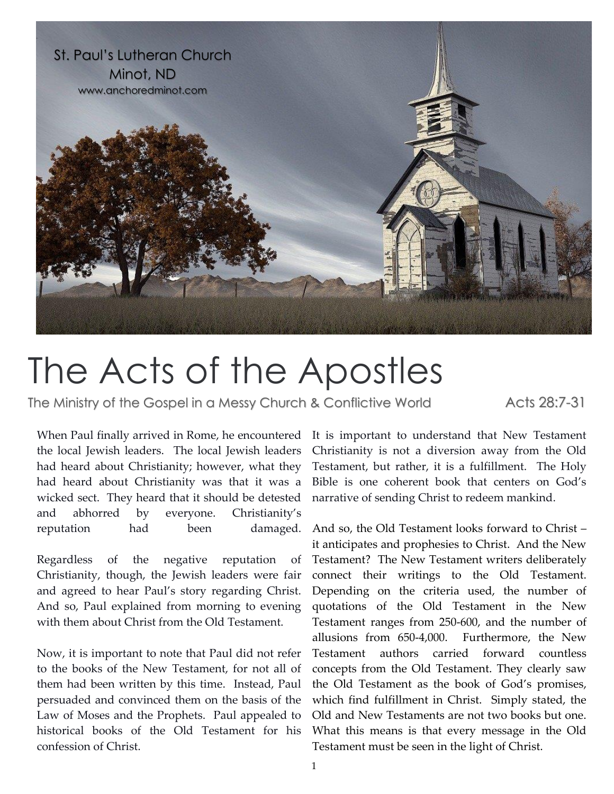

## The Acts of the Apostles

The Ministry of the Gospel in a Messy Church & Conflictive World Acts 28:7-31

When Paul finally arrived in Rome, he encountered the local Jewish leaders. The local Jewish leaders had heard about Christianity; however, what they had heard about Christianity was that it was a wicked sect. They heard that it should be detested and abhorred by everyone. Christianity's reputation had been damaged.

Regardless of the negative reputation of Christianity, though, the Jewish leaders were fair and agreed to hear Paul's story regarding Christ. And so, Paul explained from morning to evening with them about Christ from the Old Testament.

Now, it is important to note that Paul did not refer to the books of the New Testament, for not all of them had been written by this time. Instead, Paul persuaded and convinced them on the basis of the Law of Moses and the Prophets. Paul appealed to historical books of the Old Testament for his confession of Christ.

It is important to understand that New Testament Christianity is not a diversion away from the Old Testament, but rather, it is a fulfillment. The Holy Bible is one coherent book that centers on God's narrative of sending Christ to redeem mankind.

And so, the Old Testament looks forward to Christ – it anticipates and prophesies to Christ. And the New Testament? The New Testament writers deliberately connect their writings to the Old Testament. Depending on the criteria used, the number of quotations of the Old Testament in the New Testament ranges from 250-600, and the number of allusions from 650-4,000. Furthermore, the New Testament authors carried forward countless concepts from the Old Testament. They clearly saw the Old Testament as the book of God's promises, which find fulfillment in Christ. Simply stated, the Old and New Testaments are not two books but one. What this means is that every message in the Old Testament must be seen in the light of Christ.